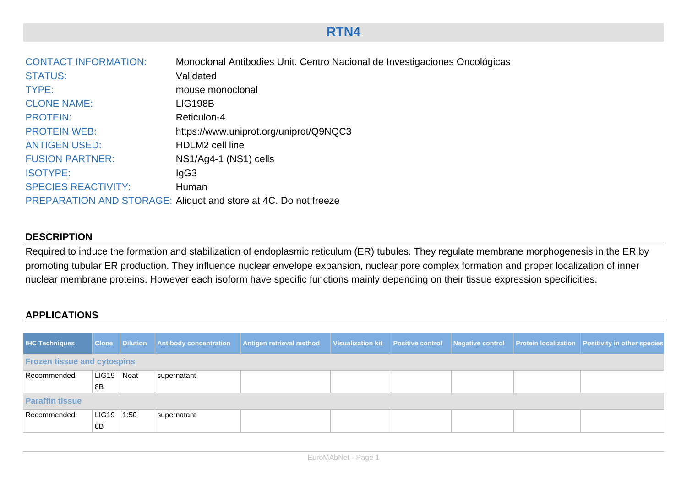# **RTN4**

| <b>CONTACT INFORMATION:</b> | Monoclonal Antibodies Unit. Centro Nacional de Investigaciones Oncológicas |
|-----------------------------|----------------------------------------------------------------------------|
| <b>STATUS:</b>              | Validated                                                                  |
| TYPE:                       | mouse monoclonal                                                           |
| <b>CLONE NAME:</b>          | <b>LIG198B</b>                                                             |
| <b>PROTEIN:</b>             | Reticulon-4                                                                |
| <b>PROTEIN WEB:</b>         | https://www.uniprot.org/uniprot/Q9NQC3                                     |
| <b>ANTIGEN USED:</b>        | HDLM2 cell line                                                            |
| <b>FUSION PARTNER:</b>      | NS1/Ag4-1 (NS1) cells                                                      |
| <b>ISOTYPE:</b>             | lgG3                                                                       |
| <b>SPECIES REACTIVITY:</b>  | Human                                                                      |
|                             | PREPARATION AND STORAGE: Aliquot and store at 4C. Do not freeze            |

### **DESCRIPTION**

Required to induce the formation and stabilization of endoplasmic reticulum (ER) tubules. They regulate membrane morphogenesis in the ER by promoting tubular ER production. They influence nuclear envelope expansion, nuclear pore complex formation and proper localization of inner nuclear membrane proteins. However each isoform have specific functions mainly depending on their tissue expression specificities.

# **APPLICATIONS**

| <b>IHC Techniques</b>              |            |      |             | Clone Dilution Antibody concentration Antigen retrieval method Visualization kit Positive control Negative control Protein localization Positivity in other species |  |  |  |  |  |
|------------------------------------|------------|------|-------------|---------------------------------------------------------------------------------------------------------------------------------------------------------------------|--|--|--|--|--|
| <b>Frozen tissue and cytospins</b> |            |      |             |                                                                                                                                                                     |  |  |  |  |  |
| Recommended                        | LIG19 Neat |      | supernatant |                                                                                                                                                                     |  |  |  |  |  |
|                                    | 8B         |      |             |                                                                                                                                                                     |  |  |  |  |  |
| <b>Paraffin tissue</b>             |            |      |             |                                                                                                                                                                     |  |  |  |  |  |
| Recommended                        | LIG19      | 1:50 | supernatant |                                                                                                                                                                     |  |  |  |  |  |
|                                    | 8B         |      |             |                                                                                                                                                                     |  |  |  |  |  |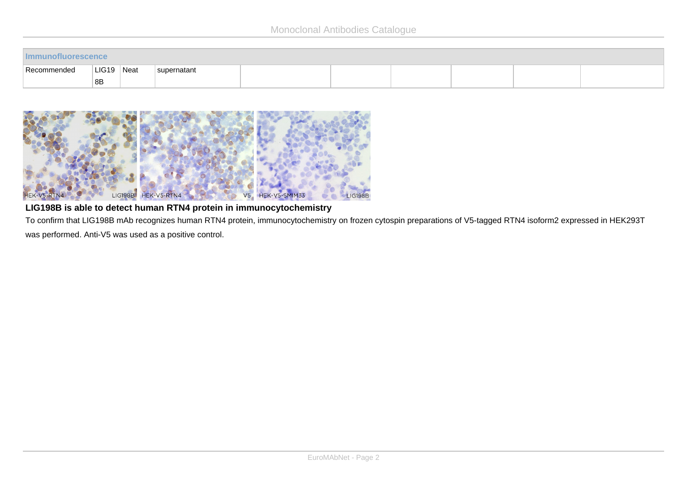| Recommended | LIG19 | <sup>∣</sup> Neat | supernatant |  |  |  |  |  |  |
|-------------|-------|-------------------|-------------|--|--|--|--|--|--|
|             | 8B    |                   |             |  |  |  |  |  |  |



## **LIG198B is able to detect human RTN4 protein in immunocytochemistry**

To confirm that LIG198B mAb recognizes human RTN4 protein, immunocytochemistry on frozen cytospin preparations of V5-tagged RTN4 isoform2 expressed in HEK293T was performed. Anti-V5 was used as a positive control.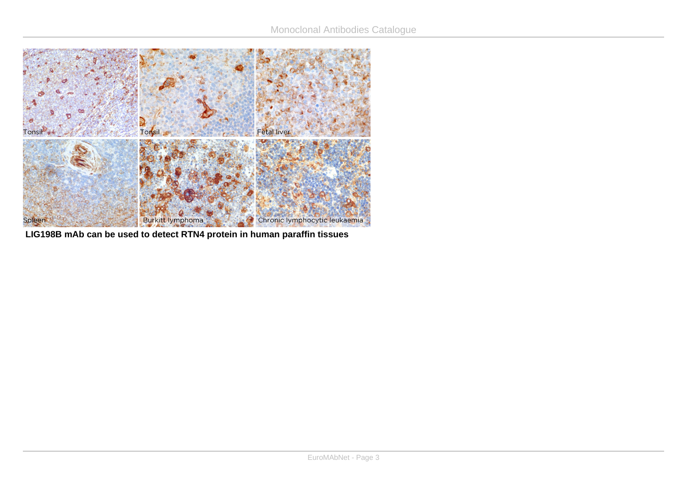

**LIG198B mAb can be used to detect RTN4 protein in human paraffin tissues**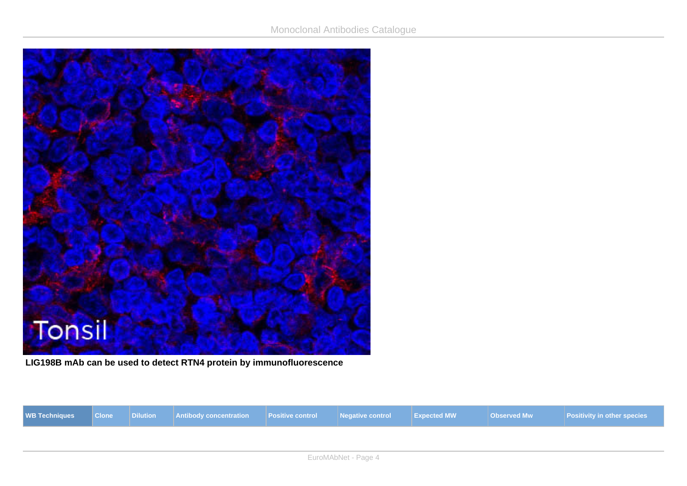

**LIG198B mAb can be used to detect RTN4 protein by immunofluorescence**

|  | WB Techniques   Clone   Dilution   Antibody concentration   Positive control   Negative control   Expected MW<br>Observed Mw<br><b>Positivity in other species</b> |
|--|--------------------------------------------------------------------------------------------------------------------------------------------------------------------|
|--|--------------------------------------------------------------------------------------------------------------------------------------------------------------------|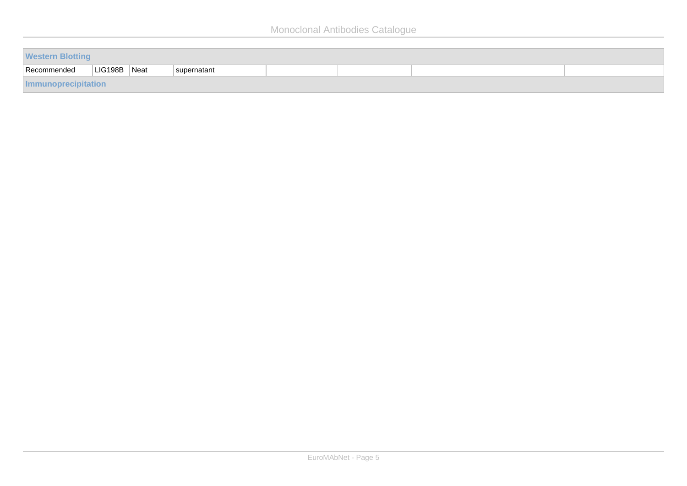| <b>Western Blotting</b> |              |  |             |  |  |  |  |  |
|-------------------------|--------------|--|-------------|--|--|--|--|--|
| Recommended             | LIG198B Neat |  | supernatant |  |  |  |  |  |
| Immunoprecipitation     |              |  |             |  |  |  |  |  |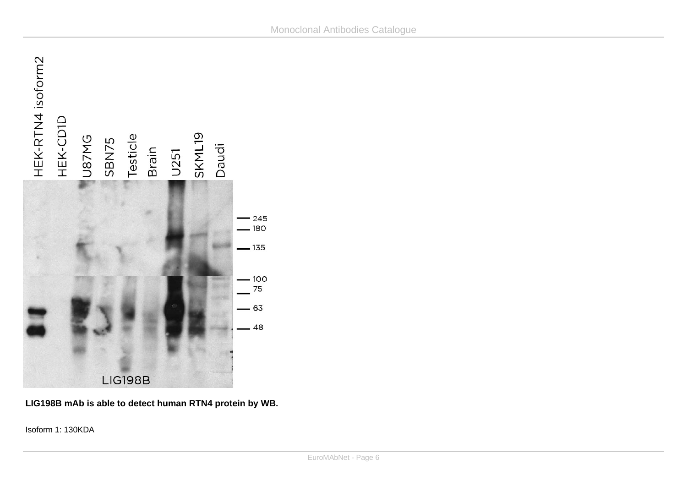

**LIG198B mAb is able to detect human RTN4 protein by WB.**

Isoform 1: 130KDA